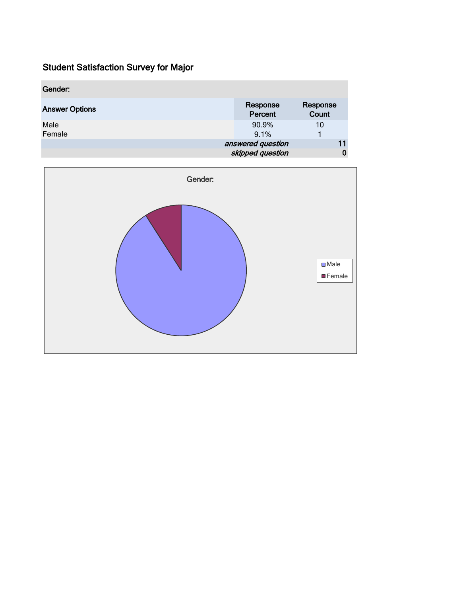| Gender:               |                     |                   |
|-----------------------|---------------------|-------------------|
| <b>Answer Options</b> | Response<br>Percent | Response<br>Count |
| Male<br>Female        | 90.9%<br>9.1%       | 10                |
|                       | answered question   |                   |
|                       | skipped question    |                   |

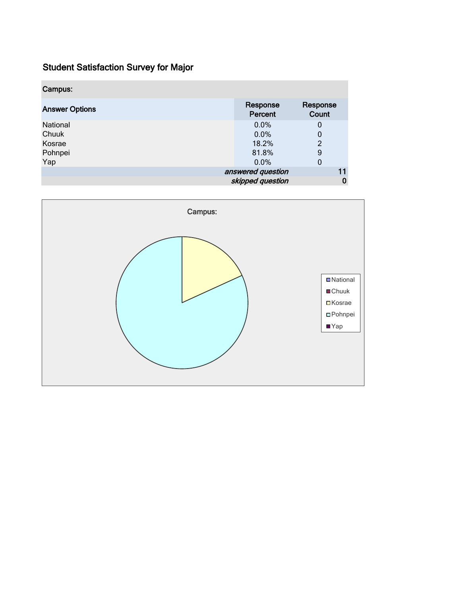| Campus:               |                     |                   |
|-----------------------|---------------------|-------------------|
| <b>Answer Options</b> | Response<br>Percent | Response<br>Count |
| National              | 0.0%                | 0                 |
| Chuuk                 | 0.0%                | $\Omega$          |
| Kosrae                | 18.2%               | 2                 |
| Pohnpei               | 81.8%               | 9                 |
| Yap                   | $0.0\%$             | $\Omega$          |
|                       | answered question   | 11                |
|                       | skipped question    |                   |

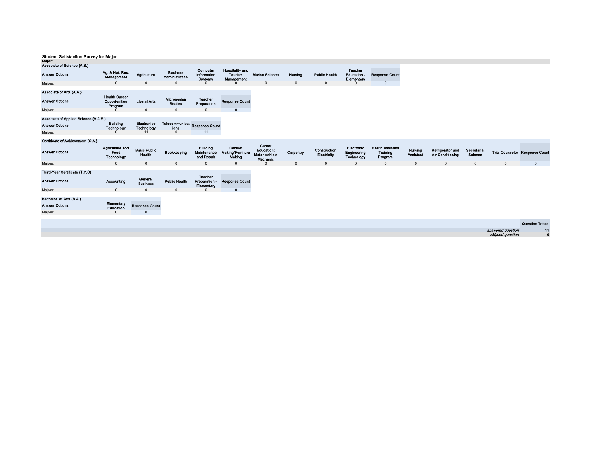|  |  | <b>Student Satisfaction Survey for Major</b> |  |  |  |
|--|--|----------------------------------------------|--|--|--|
|--|--|----------------------------------------------|--|--|--|

| Major:                                |                                       |                                  |                                       |                                              |                                                 |                                                                 |              |                             |                                           |                                                |                      |                                             |                        |                   |                                       |
|---------------------------------------|---------------------------------------|----------------------------------|---------------------------------------|----------------------------------------------|-------------------------------------------------|-----------------------------------------------------------------|--------------|-----------------------------|-------------------------------------------|------------------------------------------------|----------------------|---------------------------------------------|------------------------|-------------------|---------------------------------------|
| Associate of Science (A.S.)           |                                       |                                  |                                       |                                              |                                                 |                                                                 |              |                             |                                           |                                                |                      |                                             |                        |                   |                                       |
| <b>Answer Options</b>                 | Ag. & Nat. Res.<br>Management         | Agriculture                      | <b>Business</b><br>Administration     | Computer<br>Information<br><b>Systems</b>    | <b>Hospitality and</b><br>Tourism<br>Management | <b>Marine Science</b>                                           | Nursing      | <b>Public Health</b>        | <b>Teacher</b><br>Education<br>Elementary | <b>Response Count</b>                          |                      |                                             |                        |                   |                                       |
| Majors:                               | $\mathbf{0}$                          |                                  |                                       | $\mathbf 0$                                  |                                                 | $\mathbf{0}$                                                    | $\mathbf{0}$ | $\mathbf{0}$                |                                           | $\mathbf{0}$                                   |                      |                                             |                        |                   |                                       |
| Associate of Arts (A.A.)              | <b>Health Career</b>                  |                                  |                                       |                                              |                                                 |                                                                 |              |                             |                                           |                                                |                      |                                             |                        |                   |                                       |
| <b>Answer Options</b>                 | Opportunities<br>Program              | <b>Liberal Arts</b>              | Micronesian<br><b>Studies</b>         | <b>Teacher</b><br>Preparation                | <b>Response Count</b>                           |                                                                 |              |                             |                                           |                                                |                      |                                             |                        |                   |                                       |
| Majors:                               |                                       | $\Omega$                         | $\Omega$                              | $\Omega$                                     | $\Omega$                                        |                                                                 |              |                             |                                           |                                                |                      |                                             |                        |                   |                                       |
| Associate of Applied Science (A.A.S.) |                                       |                                  |                                       |                                              |                                                 |                                                                 |              |                             |                                           |                                                |                      |                                             |                        |                   |                                       |
| <b>Answer Options</b>                 | <b>Building</b><br>Technology         | Electronics<br><b>Technology</b> | Telecommunicat Response Count<br>ions |                                              |                                                 |                                                                 |              |                             |                                           |                                                |                      |                                             |                        |                   |                                       |
| Majors:                               | $\Omega$                              | 11                               | $\Omega$                              | 11                                           |                                                 |                                                                 |              |                             |                                           |                                                |                      |                                             |                        |                   |                                       |
| Certificate of Achievement (C.A.)     |                                       |                                  |                                       |                                              |                                                 |                                                                 |              |                             |                                           |                                                |                      |                                             |                        |                   |                                       |
| <b>Answer Options</b>                 | Agriculture and<br>Food<br>Technology | <b>Basic Public</b><br>Health    | Bookkeeping                           | <b>Building</b><br>Maintenance<br>and Repair | Cabinet<br><b>Making/Furniture</b><br>Making    | Career<br><b>Education:</b><br><b>Motor Vehicle</b><br>Mechanic | Carpentry    | Construction<br>Electricity | Electronic<br>Engineering<br>Technology   | <b>Health Assistant</b><br>Training<br>Program | Nursing<br>Assistant | Refrigerator and<br><b>Air Conditioning</b> | Secretarial<br>Science |                   | <b>Trial Counselor Response Count</b> |
| Majors:                               | $\mathbf{0}$                          | $\mathbf 0$                      | $\mathbf{0}$                          | $\overline{0}$                               | $\mathbf{0}$                                    | $\Omega$                                                        | $\mathbf{0}$ | $\overline{0}$              | $\Omega$                                  | $\mathbf 0$                                    | $\Omega$             | $\overline{0}$                              | $\mathbf{0}$           | $\mathbf{0}$      | $\mathbf{0}$                          |
| Third-Year Certificate (T.Y.C)        |                                       |                                  |                                       | <b>Teacher</b>                               |                                                 |                                                                 |              |                             |                                           |                                                |                      |                                             |                        |                   |                                       |
| <b>Answer Options</b>                 | Accounting                            | General<br><b>Business</b>       | <b>Public Health</b>                  | Preparation -<br>Elementary                  | <b>Response Count</b>                           |                                                                 |              |                             |                                           |                                                |                      |                                             |                        |                   |                                       |
| Majors:                               | $\mathbb O$                           | $\mathbf 0$                      |                                       | $\mathbf 0$                                  | $\mathbf{0}$                                    |                                                                 |              |                             |                                           |                                                |                      |                                             |                        |                   |                                       |
| Bachelor of Arts (B.A.)               |                                       |                                  |                                       |                                              |                                                 |                                                                 |              |                             |                                           |                                                |                      |                                             |                        |                   |                                       |
|                                       | Elementary                            |                                  |                                       |                                              |                                                 |                                                                 |              |                             |                                           |                                                |                      |                                             |                        |                   |                                       |
| <b>Answer Options</b>                 | Education                             | <b>Response Count</b>            |                                       |                                              |                                                 |                                                                 |              |                             |                                           |                                                |                      |                                             |                        |                   |                                       |
| Majors:                               | $\Omega$                              |                                  |                                       |                                              |                                                 |                                                                 |              |                             |                                           |                                                |                      |                                             |                        |                   |                                       |
|                                       |                                       |                                  |                                       |                                              |                                                 |                                                                 |              |                             |                                           |                                                |                      |                                             |                        |                   |                                       |
|                                       |                                       |                                  |                                       |                                              |                                                 |                                                                 |              |                             |                                           |                                                |                      |                                             |                        |                   | <b>Question Totals</b>                |
|                                       |                                       |                                  |                                       |                                              |                                                 |                                                                 |              |                             |                                           |                                                |                      |                                             |                        | answered question | 11                                    |
|                                       |                                       |                                  |                                       |                                              |                                                 |                                                                 |              |                             |                                           |                                                |                      |                                             |                        | skipped question  | $\mathbf{0}$                          |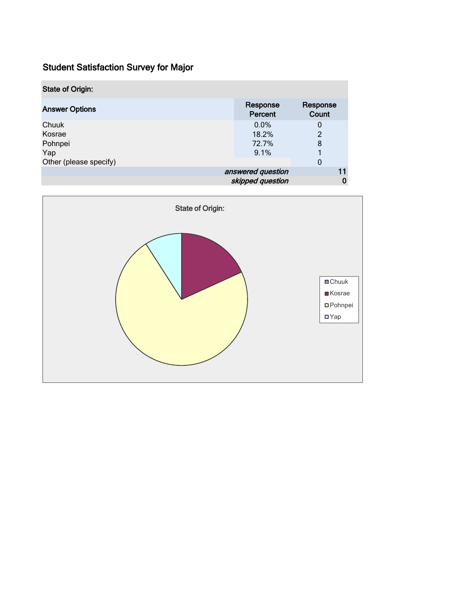| <b>State of Origin:</b> |                     |                   |
|-------------------------|---------------------|-------------------|
| <b>Answer Options</b>   | Response<br>Percent | Response<br>Count |
| Chuuk                   | $0.0\%$             | 0                 |
| Kosrae                  | 18.2%               | $\overline{2}$    |
| Pohnpei                 | 72.7%               | 8                 |
| Yap                     | 9.1%                |                   |
| Other (please specify)  |                     | 0                 |
|                         | answered question   | 11                |
|                         | skipped question    |                   |